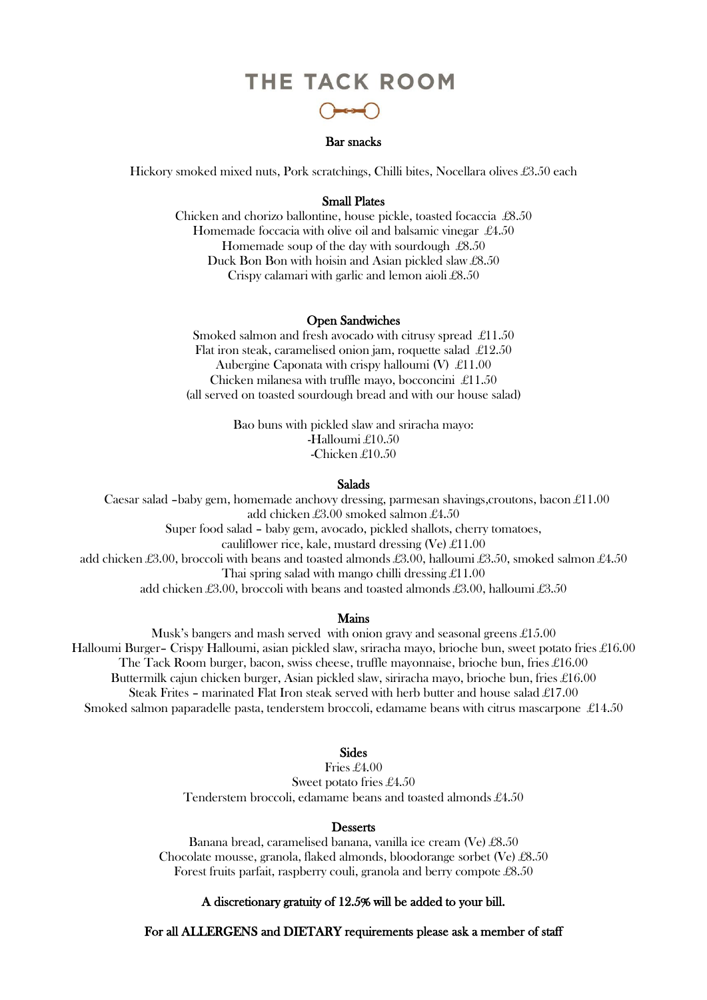# THE TACK ROOM



# Bar snacks

Hickory smoked mixed nuts, Pork scratchings, Chilli bites, Nocellara olives £3.50 each

## Small Plates

Chicken and chorizo ballontine, house pickle, toasted focaccia £8.50 Homemade foccacia with olive oil and balsamic vinegar £4.50 Homemade soup of the day with sourdough £8.50 Duck Bon Bon with hoisin and Asian pickled slaw £8.50 Crispy calamari with garlic and lemon aioli £8.50

### Open Sandwiches

Smoked salmon and fresh avocado with citrusy spread £11.50 Flat iron steak, caramelised onion jam, roquette salad £12.50 Aubergine Caponata with crispy halloumi (V) £11.00 Chicken milanesa with truffle mayo, bocconcini £11.50 (all served on toasted sourdough bread and with our house salad)

> Bao buns with pickled slaw and sriracha mayo: -Halloumi £10.50 -Chicken £10.50

### Salads

 Caesar salad –baby gem, homemade anchovy dressing, parmesan shavings,croutons, bacon £11.00 add chicken £3.00 smoked salmon £4.50 Super food salad – baby gem, avocado, pickled shallots, cherry tomatoes, cauliflower rice, kale, mustard dressing (Ve)  $\pounds$ 11.00 add chicken £3.00, broccoli with beans and toasted almonds £3.00, halloumi £3.50, smoked salmon £4.50 Thai spring salad with mango chilli dressing  $\pounds$ 11.00 add chicken £3.00, broccoli with beans and toasted almonds £3.00, halloumi £3.50

## Mains

Musk's bangers and mash served with onion gravy and seasonal greens £15.00 Halloumi Burger– Crispy Halloumi, asian pickled slaw, sriracha mayo, brioche bun, sweet potato fries £16.00 The Tack Room burger, bacon, swiss cheese, truffle mayonnaise, brioche bun, fries £16.00 Buttermilk cajun chicken burger, Asian pickled slaw, siriracha mayo, brioche bun, fries £16.00 Steak Frites – marinated Flat Iron steak served with herb butter and house salad £17.00 Smoked salmon paparadelle pasta, tenderstem broccoli, edamame beans with citrus mascarpone £14.50

# Sides

Fries £4.00 Sweet potato fries £4.50 Tenderstem broccoli, edamame beans and toasted almonds £4.50

### **Desserts**

Banana bread, caramelised banana, vanilla ice cream (Ve) £8.50 Chocolate mousse, granola, flaked almonds, bloodorange sorbet (Ve) £8.50 Forest fruits parfait, raspberry couli, granola and berry compote £8.50

## A discretionary gratuity of 12.5% will be added to your bill.

For all ALLERGENS and DIETARY requirements please ask a member of staff